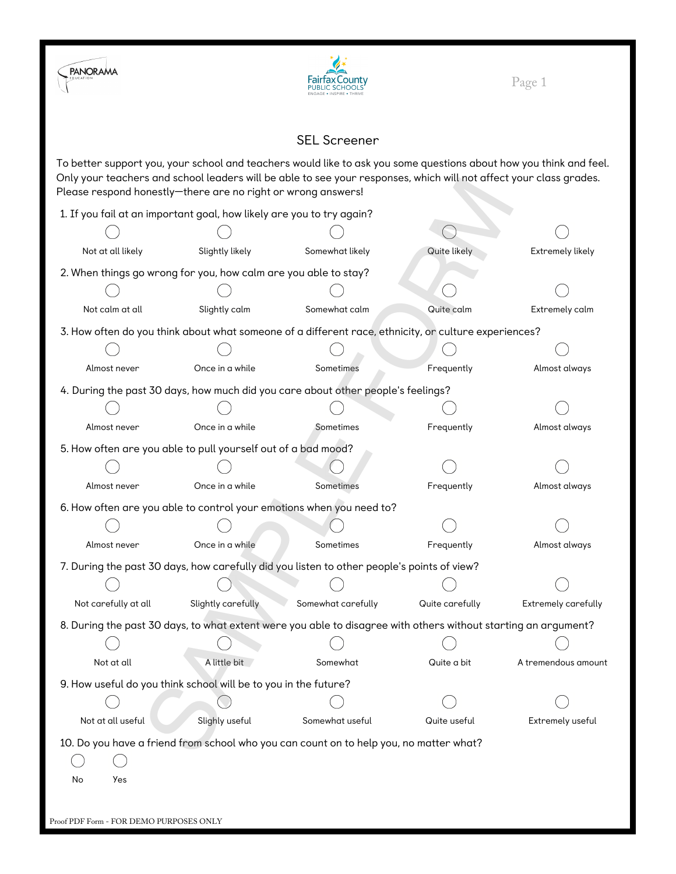



## SEL Screener

To better support you, your school and teachers would like to ask you some questions about how you think and feel. Only your teachers and school leaders will be able to see your responses, which will not affect your class grades. Please respond honestly—there are no right or wrong answers!

|                      | Only your teachers and school leaders will be able to see your responses, which will not diffect your class grades.<br>Please respond honestly-there are no right or wrong answers! |                    |                 |                     |
|----------------------|-------------------------------------------------------------------------------------------------------------------------------------------------------------------------------------|--------------------|-----------------|---------------------|
|                      | 1. If you fail at an important goal, how likely are you to try again?                                                                                                               |                    |                 |                     |
|                      |                                                                                                                                                                                     |                    |                 |                     |
| Not at all likely    | Slightly likely                                                                                                                                                                     | Somewhat likely    | Quite likely    | Extremely likely    |
|                      | 2. When things go wrong for you, how calm are you able to stay?                                                                                                                     |                    |                 |                     |
|                      |                                                                                                                                                                                     |                    |                 |                     |
| Not calm at all      | Slightly calm                                                                                                                                                                       | Somewhat calm      | Quite calm      | Extremely calm      |
|                      | 3. How often do you think about what someone of a different race, ethnicity, or culture experiences?                                                                                |                    |                 |                     |
|                      |                                                                                                                                                                                     |                    |                 |                     |
| Almost never         | Once in a while                                                                                                                                                                     | Sometimes          | Frequently      | Almost always       |
|                      | 4. During the past 30 days, how much did you care about other people's feelings?                                                                                                    |                    |                 |                     |
|                      |                                                                                                                                                                                     |                    |                 |                     |
| Almost never         | Once in a while                                                                                                                                                                     | Sometimes          | Frequently      | Almost always       |
|                      | 5. How often are you able to pull yourself out of a bad mood?                                                                                                                       |                    |                 |                     |
|                      |                                                                                                                                                                                     |                    |                 |                     |
| Almost never         | Once in a while                                                                                                                                                                     | Sometimes          | Frequently      | Almost always       |
|                      | 6. How often are you able to control your emotions when you need to?                                                                                                                |                    |                 |                     |
|                      |                                                                                                                                                                                     |                    |                 |                     |
| Almost never         | Once in a while                                                                                                                                                                     | Sometimes          | Frequently      | Almost always       |
|                      | 7. During the past 30 days, how carefully did you listen to other people's points of view?                                                                                          |                    |                 |                     |
|                      |                                                                                                                                                                                     |                    |                 |                     |
| Not carefully at all | Slightly carefully                                                                                                                                                                  | Somewhat carefully | Quite carefully | Extremely carefully |
|                      | 8. During the past 30 days, to what extent were you able to disagree with others without starting an argument?                                                                      |                    |                 |                     |
|                      |                                                                                                                                                                                     |                    |                 |                     |
| Not at all           | A little bit                                                                                                                                                                        | Somewhat           | Quite a bit     | A tremendous amount |
|                      | 9. How useful do you think school will be to you in the future?                                                                                                                     |                    |                 |                     |
|                      |                                                                                                                                                                                     |                    |                 |                     |
| Not at all useful    | Slighly useful                                                                                                                                                                      | Somewhat useful    | Quite useful    | Extremely useful    |
|                      | 10. Do you have a friend from school who you can count on to help you, no matter what?                                                                                              |                    |                 |                     |
|                      |                                                                                                                                                                                     |                    |                 |                     |
| Yes<br>No            |                                                                                                                                                                                     |                    |                 |                     |
|                      |                                                                                                                                                                                     |                    |                 |                     |